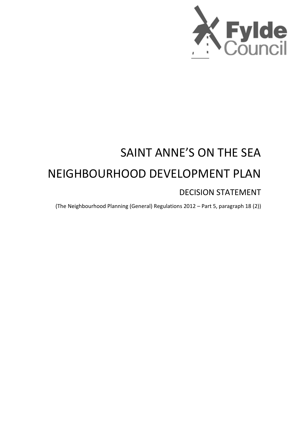

# SAINT ANNE'S ON THE SEA NEIGHBOURHOOD DEVELOPMENT PLAN

# DECISION STATEMENT

(The Neighbourhood Planning (General) Regulations 2012 – Part 5, paragraph 18 (2))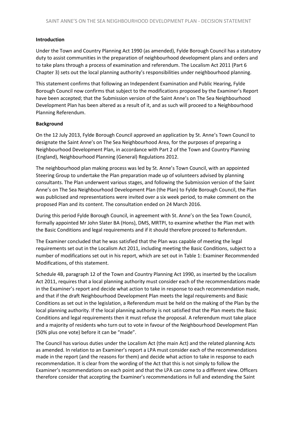# **Introduction**

Under the Town and Country Planning Act 1990 (as amended), Fylde Borough Council has a statutory duty to assist communities in the preparation of neighbourhood development plans and orders and to take plans through a process of examination and referendum. The Localism Act 2011 (Part 6 Chapter 3) sets out the local planning authority's responsibilities under neighbourhood planning.

This statement confirms that following an Independent Examination and Public Hearing, Fylde Borough Council now confirms that subject to the modifications proposed by the Examiner's Report have been accepted; that the Submission version of the Saint Anne's on The Sea Neighbourhood Development Plan has been altered as a result of it, and as such will proceed to a Neighbourhood Planning Referendum.

# **Background**

On the 12 July 2013, Fylde Borough Council approved an application by St. Anne's Town Council to designate the Saint Anne's on The Sea Neighbourhood Area, for the purposes of preparing a Neighbourhood Development Plan, in accordance with Part 2 of the Town and Country Planning (England), Neighbourhood Planning (General) Regulations 2012.

The neighbourhood plan making process was led by St. Anne's Town Council, with an appointed Steering Group to undertake the Plan preparation made up of volunteers advised by planning consultants. The Plan underwent various stages, and following the Submission version of the Saint Anne's on The Sea Neighbourhood Development Plan (the Plan) to Fylde Borough Council, the Plan was publicised and representations were invited over a six week period, to make comment on the proposed Plan and its content. The consultation ended on 24 March 2016.

During this period Fylde Borough Council, in agreement with St. Anne's on the Sea Town Council, formally appointed Mr John Slater BA (Hons), DMS, MRTPI, to examine whether the Plan met with the Basic Conditions and legal requirements and if it should therefore proceed to Referendum.

The Examiner concluded that he was satisfied that the Plan was capable of meeting the legal requirements set out in the Localism Act 2011, including meeting the Basic Conditions, subject to a number of modifications set out in his report, which are set out in Table 1: Examiner Recommended Modifications, of this statement.

Schedule 4B, paragraph 12 of the Town and Country Planning Act 1990, as inserted by the Localism Act 2011, requires that a local planning authority must consider each of the recommendations made in the Examiner's report and decide what action to take in response to each recommendation made, and that if the draft Neighbourhood Development Plan meets the legal requirements and Basic Conditions as set out in the legislation, a Referendum must be held on the making of the Plan by the local planning authority. If the local planning authority is not satisfied that the Plan meets the Basic Conditions and legal requirements then it must refuse the proposal. A referendum must take place and a majority of residents who turn out to vote in favour of the Neighbourhood Development Plan (50% plus one vote) before it can be "made".

The Council has various duties under the Localism Act (the main Act) and the related planning Acts as amended. In relation to an Examiner's report a LPA must consider each of the recommendations made in the report (and the reasons for them) and decide what action to take in response to each recommendation. It is clear from the wording of the Act that this is not simply to follow the Examiner's recommendations on each point and that the LPA can come to a different view. Officers therefore consider that accepting the Examiner's recommendations in full and extending the Saint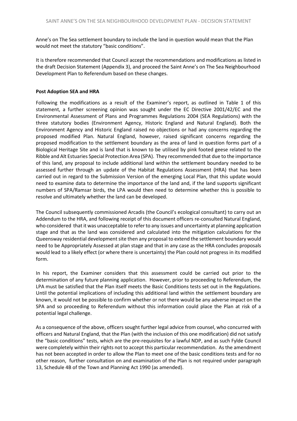Anne's on The Sea settlement boundary to include the land in question would mean that the Plan would not meet the statutory "basic conditions".

It is therefore recommended that Council accept the recommendations and modifications as listed in the draft Decision Statement (Appendix 3), and proceed the Saint Anne's on The Sea Neighbourhood Development Plan to Referendum based on these changes.

#### **Post Adoption SEA and HRA**

Following the modifications as a result of the Examiner's report, as outlined in Table 1 of this statement, a further screening opinion was sought under the EC Directive 2001/42/EC and the Environmental Assessment of Plans and Programmes Regulations 2004 (SEA Regulations) with the three statutory bodies (Environment Agency, Historic England and Natural England). Both the Environment Agency and Historic England raised no objections or had any concerns regarding the proposed modified Plan. Natural England, however, raised significant concerns regarding the proposed modification to the settlement boundary as the area of land in question forms part of a Biological Heritage Site and is land that is known to be utilised by pink footed geese related to the Ribble and Alt Estuaries Special Protection Area (SPA). They recommended that due to the importance of this land, any proposal to include additional land within the settlement boundary needed to be assessed further through an update of the Habitat Regulations Assessment (HRA) that has been carried out in regard to the Submission Version of the emerging Local Plan, that this update would need to examine data to determine the importance of the land and, if the land supports significant numbers of SPA/Ramsar birds, the LPA would then need to determine whether this is possible to resolve and ultimately whether the land can be developed.

The Council subsequently commissioned Arcadis (the Council's ecological consultant) to carry out an Addendum to the HRA, and following receipt of this document officers re-consulted Natural England, who considered that it was unacceptable to refer to any issues and uncertainty at planning application stage and that as the land was considered and calculated into the mitigation calculations for the Queensway residential development site then any proposal to extend the settlement boundary would need to be Appropriately Assessed at plan stage and that in any case as the HRA concludes proposals would lead to a likely effect (or where there is uncertainty) the Plan could not progress in its modified form.

In his report, the Examiner considers that this assessment could be carried out prior to the determination of any future planning application. However, prior to proceeding to Referendum, the LPA must be satisfied that the Plan itself meets the Basic Conditions tests set out in the Regulations. Until the potential implications of including this additional land within the settlement boundary are known, it would not be possible to confirm whether or not there would be any adverse impact on the SPA and so proceeding to Referendum without this information could place the Plan at risk of a potential legal challenge.

As a consequence of the above, officers sought further legal advice from counsel, who concurred with officers and Natural England, that the Plan (with the inclusion of this one modification) did not satisfy the "basic conditions" tests, which are the pre-requisites for a lawful NDP, and as such Fylde Council were completely within their rights not to accept this particular recommendation. As the amendment has not been accepted in order to allow the Plan to meet one of the basic conditions tests and for no other reason, further consultation on and examination of the Plan is not required under paragraph 13, Schedule 4B of the Town and Planning Act 1990 (as amended).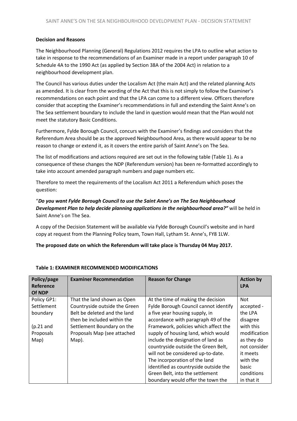## **Decision and Reasons**

The Neighbourhood Planning (General) Regulations 2012 requires the LPA to outline what action to take in response to the recommendations of an Examiner made in a report under paragraph 10 of Schedule 4A to the 1990 Act (as applied by Section 38A of the 2004 Act) in relation to a neighbourhood development plan.

The Council has various duties under the Localism Act (the main Act) and the related planning Acts as amended. It is clear from the wording of the Act that this is not simply to follow the Examiner's recommendations on each point and that the LPA can come to a different view. Officers therefore consider that accepting the Examiner's recommendations in full and extending the Saint Anne's on The Sea settlement boundary to include the land in question would mean that the Plan would not meet the statutory Basic Conditions.

Furthermore, Fylde Borough Council, concurs with the Examiner's findings and considers that the Referendum Area should be as the approved Neighbourhood Area, as there would appear to be no reason to change or extend it, as it covers the entire parish of Saint Anne's on The Sea.

The list of modifications and actions required are set out in the following table (Table 1). As a consequence of these changes the NDP (Referendum version) has been re-formatted accordingly to take into account amended paragraph numbers and page numbers etc.

Therefore to meet the requirements of the Localism Act 2011 a Referendum which poses the question:

# "*Do you want Fylde Borough Council to use the Saint Anne's on The Sea Neighbourhood Development Plan to help decide planning applications in the neighbourhood area?"* will be held in Saint Anne's on The Sea.

A copy of the Decision Statement will be available via Fylde Borough Council's website and in hard copy at request from the Planning Policy team, Town Hall, Lytham St. Anne's, FY8 1LW.

# **The proposed date on which the Referendum will take place is Thursday 04 May 2017.**

| Policy/page | <b>Examiner Recommendation</b> | <b>Reason for Change</b>              | <b>Action by</b> |
|-------------|--------------------------------|---------------------------------------|------------------|
| Reference   |                                |                                       | <b>LPA</b>       |
| Of NDP      |                                |                                       |                  |
| Policy GP1: | That the land shown as Open    | At the time of making the decision    | <b>Not</b>       |
| Settlement  | Countryside outside the Green  | Fylde Borough Council cannot identify | accepted -       |
| boundary    | Belt be deleted and the land   | a five year housing supply, in        | the LPA          |
|             | then be included within the    | accordance with paragraph 49 of the   | disagree         |
| $(p.21$ and | Settlement Boundary on the     | Framework, policies which affect the  | with this        |
| Proposals   | Proposals Map (see attached    | supply of housing land, which would   | modification     |
| Map)        | Map).                          | include the designation of land as    | as they do       |
|             |                                | countryside outside the Green Belt,   | not consider     |
|             |                                | will not be considered up-to-date.    | it meets         |
|             |                                | The incorporation of the land         | with the         |
|             |                                | identified as countryside outside the | basic            |
|             |                                | Green Belt, into the settlement       | conditions       |
|             |                                | boundary would offer the town the     | in that it       |

#### **Table 1: EXAMINER RECOMMENDED MODIFICATIONS**